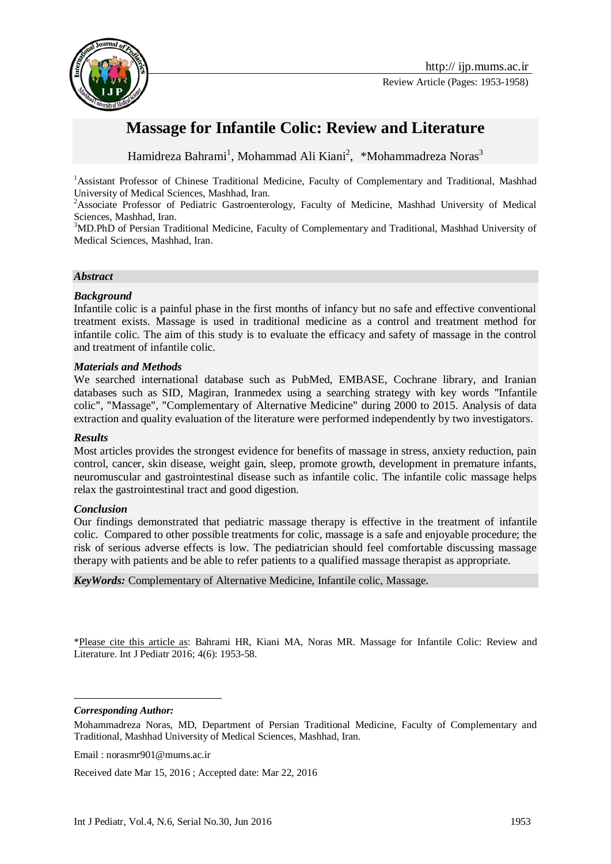

# **Massage for Infantile Colic: Review and Literature**

Hamidreza Bahrami<sup>1</sup>, Mohammad Ali Kiani<sup>2</sup>, \*Mohammadreza Noras<sup>3</sup>

<sup>1</sup>Assistant Professor of Chinese Traditional Medicine, Faculty of Complementary and Traditional, Mashhad University of Medical Sciences, Mashhad, Iran.

<sup>2</sup>Associate Professor of Pediatric Gastroenterology, Faculty of Medicine, Mashhad University of Medical Sciences, Mashhad, Iran.

<sup>3</sup>MD.PhD of Persian Traditional Medicine, Faculty of Complementary and Traditional, Mashhad University of Medical Sciences, Mashhad, Iran.

#### *Abstract*

#### *Background*

Infantile colic is a painful phase in the first months of infancy but no safe and effective conventional treatment exists. Massage is used in traditional medicine as a control and treatment method for infantile colic. The aim of this study is to evaluate the efficacy and safety of massage in the control and treatment of infantile colic.

#### *Materials and Methods*

We searched international database such as PubMed, EMBASE, Cochrane library, and Iranian databases such as SID, Magiran, Iranmedex using a searching strategy with key words "Infantile colic", "Massage", "Complementary of Alternative Medicine" during 2000 to 2015. Analysis of data extraction and quality evaluation of the literature were performed independently by two investigators.

#### *Results*

Most articles provides the strongest evidence for benefits of massage in stress, anxiety reduction, pain control, cancer, skin disease, weight gain, sleep, promote growth, development in premature infants, neuromuscular and gastrointestinal disease such as infantile colic. The infantile colic massage helps relax the gastrointestinal tract and good digestion.

#### *Conclusion*

Our findings demonstrated that pediatric massage therapy is effective in the treatment of infantile colic. Compared to other possible treatments for colic, massage is a safe and enjoyable procedure; the risk of serious adverse effects is low. The pediatrician should feel comfortable discussing massage therapy with patients and be able to refer patients to a qualified massage therapist as appropriate.

*KeyWords:* Complementary of Alternative Medicine, Infantile colic, Massage.

\*Please cite this article as: Bahrami HR, Kiani MA, Noras MR. Massage for Infantile Colic: Review and Literature. Int J Pediatr 2016; 4(6): 1953-58.

*Corresponding Author:*

1

Email : norasmr901@mums.ac.ir

Received date Mar 15, 2016 ; Accepted date: Mar 22, 2016

Mohammadreza Noras, MD, Department of Persian Traditional Medicine, Faculty of Complementary and Traditional, Mashhad University of Medical Sciences, Mashhad, Iran.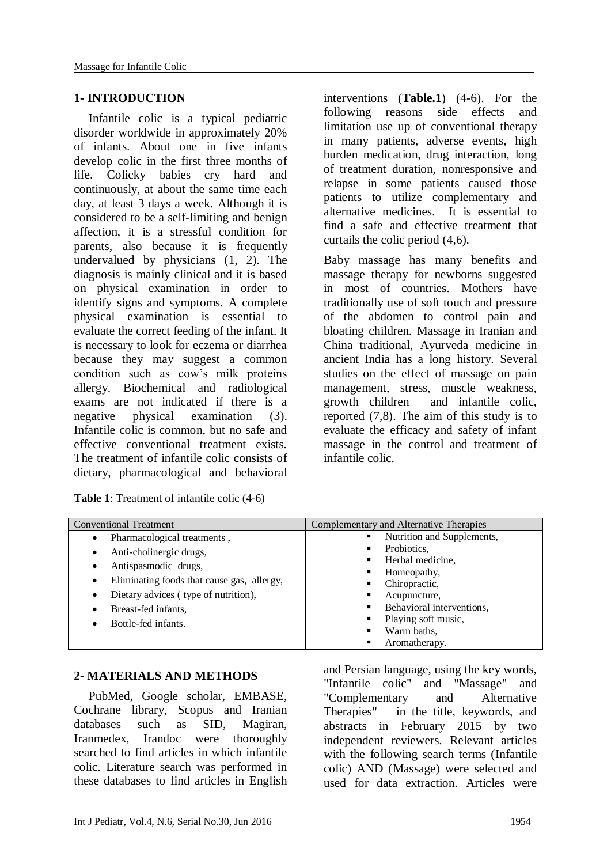### **1- INTRODUCTION**

Infantile colic is a typical pediatric disorder worldwide in approximately 20% of infants. About one in five infants develop colic in the first three months of life. Colicky babies cry hard and continuously, at about the same time each day, at least 3 days a week. Although it is considered to be a self-limiting and benign affection, it is a stressful condition for parents, also because it is frequently undervalued by physicians (1, 2). The diagnosis is mainly clinical and it is based on physical examination in order to identify signs and symptoms. A complete physical examination is essential to evaluate the correct feeding of the infant. It is necessary to look for eczema or diarrhea because they may suggest a common condition such as cow's milk proteins allergy. Biochemical and radiological exams are not indicated if there is a negative physical examination (3). Infantile colic is common, but no safe and effective conventional treatment exists. The treatment of infantile colic consists of dietary, pharmacological and behavioral

| <b>Table 1:</b> Treatment of infantile colic (4-6) |  |
|----------------------------------------------------|--|
|----------------------------------------------------|--|

interventions (**Table.1**) (4-6). For the following reasons side effects and limitation use up of conventional therapy in many patients, adverse events, high burden medication, drug interaction, long of treatment duration, nonresponsive and relapse in some patients caused those patients to utilize complementary and alternative medicines. It is essential to find a safe and effective treatment that curtails the colic period (4,6).

Baby massage has many benefits and massage therapy for newborns suggested in most of countries. Mothers have traditionally use of soft touch and pressure of the abdomen to control pain and bloating children. Massage in Iranian and China traditional, Ayurveda medicine in ancient India has a long history. Several studies on the effect of massage on pain management, stress, muscle weakness, growth children and infantile colic, reported (7,8). The aim of this study is to evaluate the efficacy and safety of infant massage in the control and treatment of infantile colic.

| <b>Conventional Treatment</b>                   | Complementary and Alternative Therapies                       |
|-------------------------------------------------|---------------------------------------------------------------|
| Pharmacological treatments,<br>$\bullet$        | Nutrition and Supplements,<br>п                               |
| Anti-cholinergic drugs,<br>٠                    | Probiotics,<br>٠<br>Herbal medicine,<br>٠<br>Homeopathy,<br>٠ |
| Antispasmodic drugs,<br>٠                       |                                                               |
|                                                 |                                                               |
| Eliminating foods that cause gas, allergy,<br>٠ | Chiropractic,<br>٠                                            |
| Dietary advices (type of nutrition),<br>٠       | Acupuncture,<br>п                                             |
| Breast-fed infants,<br>٠                        | Behavioral interventions,<br>٠                                |
| Bottle-fed infants.                             | Playing soft music,<br>٠                                      |
|                                                 | Warm baths,<br>٠                                              |
|                                                 | Aromatherapy.<br>٠                                            |

### **2- MATERIALS AND METHODS**

PubMed, Google scholar, EMBASE, Cochrane library, Scopus and Iranian databases such as SID, Magiran, Iranmedex, Irandoc were thoroughly searched to find articles in which infantile colic. Literature search was performed in these databases to find articles in English and Persian language, using the key words, "Infantile colic" and "Massage" and "Complementary and Alternative Therapies" in the title, keywords, and abstracts in February 2015 by two independent reviewers. Relevant articles with the following search terms (Infantile colic) AND (Massage) were selected and used for data extraction. Articles were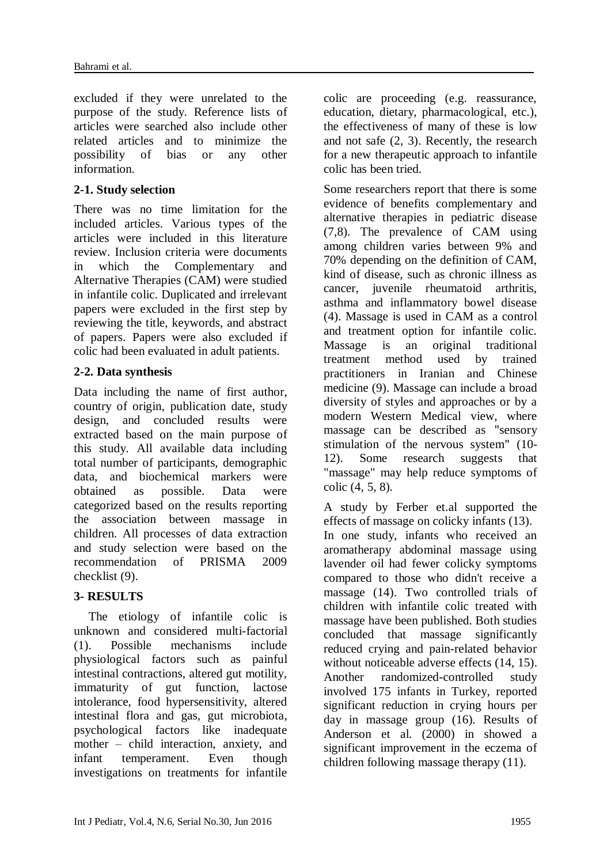excluded if they were unrelated to the purpose of the study. Reference lists of articles were searched also include other related articles and to minimize the possibility of bias or any other information.

### **2-1. Study selection**

There was no time limitation for the included articles. Various types of the articles were included in this literature review. Inclusion criteria were documents in which the Complementary and Alternative Therapies (CAM) were studied in infantile colic. Duplicated and irrelevant papers were excluded in the first step by reviewing the title, keywords, and abstract of papers. Papers were also excluded if colic had been evaluated in adult patients.

## **2-2. Data synthesis**

Data including the name of first author, country of origin, publication date, study design, and concluded results were extracted based on the main purpose of this study. All available data including total number of participants, demographic data, and biochemical markers were obtained as possible. Data were categorized based on the results reporting the association between massage in children. All processes of data extraction and study selection were based on the recommendation of PRISMA 2009 checklist (9).

# **3- RESULTS**

The etiology of infantile colic is unknown and considered multi-factorial (1). Possible mechanisms include physiological factors such as painful intestinal contractions, altered gut motility, immaturity of gut function, lactose intolerance, food hypersensitivity, altered intestinal flora and gas, gut microbiota, psychological factors like inadequate mother – child interaction, anxiety, and infant temperament. Even though investigations on treatments for infantile colic are proceeding (e.g. reassurance, education, dietary, pharmacological, etc.), the effectiveness of many of these is low and not safe (2, 3). Recently, the research for a new therapeutic approach to infantile colic has been tried.

Some researchers report that there is some evidence of benefits complementary and alternative therapies in pediatric disease (7,8). The prevalence of CAM using among children varies between 9% and 70% depending on the definition of CAM, kind of disease, such as chronic illness as cancer, juvenile rheumatoid arthritis, asthma and inflammatory bowel disease (4). Massage is used in CAM as a control and treatment option for infantile colic. Massage is an original traditional treatment method used by trained practitioners in Iranian and Chinese medicine (9). Massage can include a broad diversity of styles and approaches or by a modern Western Medical view, where massage can be described as "sensory stimulation of the nervous system" (10- 12). Some research suggests that "massage" may help reduce symptoms of colic (4, 5, 8).

A study by Ferber et.al supported the effects of massage on colicky infants (13). In one study, infants who received an aromatherapy abdominal massage using lavender oil had fewer colicky symptoms compared to those who didn't receive a massage (14). Two controlled trials of children with infantile colic treated with massage have been published. Both studies concluded that massage significantly reduced crying and pain-related behavior without noticeable adverse effects (14, 15). Another randomized-controlled study involved 175 infants in Turkey, reported significant reduction in crying hours per day in massage group (16). Results of Anderson et al. (2000) in showed a significant improvement in the eczema of children following massage therapy (11).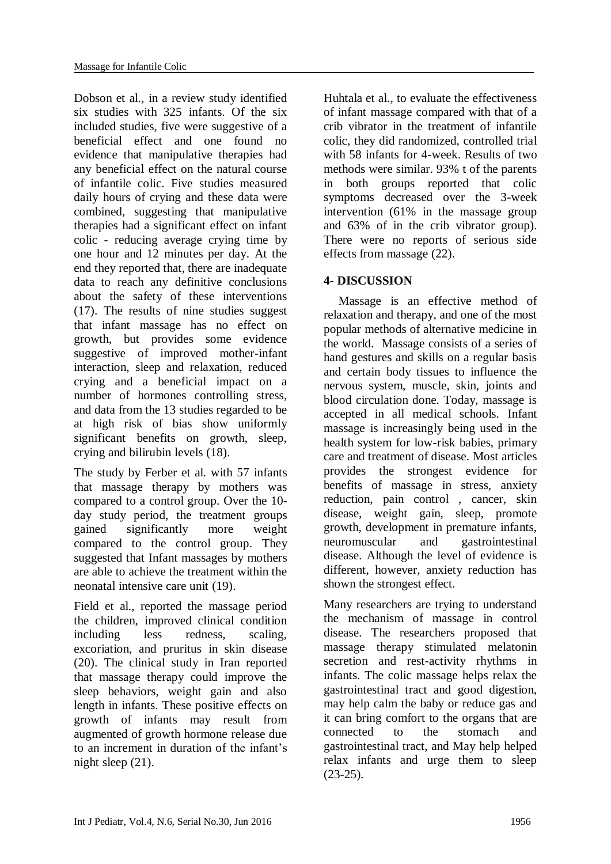Dobson et al., in a review study identified six studies with 325 infants. Of the six included studies, five were suggestive of a beneficial effect and one found no evidence that manipulative therapies had any beneficial effect on the natural course of infantile colic. Five studies measured daily hours of crying and these data were combined, suggesting that manipulative therapies had a significant effect on infant colic - reducing average crying time by one hour and 12 minutes per day. At the end they reported that, there are inadequate data to reach any definitive conclusions about the safety of these interventions (17). The results of nine studies suggest that infant massage has no effect on growth, but provides some evidence suggestive of improved mother-infant interaction, sleep and relaxation, reduced crying and a beneficial impact on a number of hormones controlling stress, and data from the 13 studies regarded to be at high risk of bias show uniformly significant benefits on growth, sleep, crying and bilirubin levels (18).

The study by Ferber et al. with 57 infants that massage therapy by mothers was compared to a control group. Over the 10 day study period, the treatment groups gained significantly more weight compared to the control group. They suggested that Infant massages by mothers are able to achieve the treatment within the neonatal intensive care unit (19).

Field et al., reported the massage period the children, improved clinical condition including less redness, scaling, excoriation, and pruritus in skin disease (20). The clinical study in Iran reported that massage therapy could improve the sleep behaviors, weight gain and also length in infants. These positive effects on growth of infants may result from augmented of growth hormone release due to an increment in duration of the infant's night sleep (21).

Huhtala et al., to evaluate the effectiveness of infant massage compared with that of a crib vibrator in the treatment of infantile colic, they did randomized, controlled trial with 58 infants for 4-week. Results of two methods were similar. 93% t of the parents in both groups reported that colic symptoms decreased over the 3-week intervention (61% in the massage group and 63% of in the crib vibrator group). There were no reports of serious side effects from massage (22).

## **4- DISCUSSION**

Massage is an effective method of relaxation and therapy, and one of the most popular methods of alternative medicine in the world. Massage consists of a series of hand gestures and skills on a regular basis and certain body tissues to influence the nervous system, muscle, skin, joints and blood circulation done. Today, massage is accepted in all medical schools. Infant massage is increasingly being used in the health system for low-risk babies, primary care and treatment of disease. Most articles provides the strongest evidence for benefits of massage in stress, anxiety reduction, pain control , cancer, skin disease, weight gain, sleep, promote growth, development in premature infants, neuromuscular and gastrointestinal disease. Although the level of evidence is different, however, anxiety reduction has shown the strongest effect.

Many researchers are trying to understand the mechanism of massage in control disease. The researchers proposed that massage therapy stimulated melatonin secretion and rest-activity rhythms in infants. The colic massage helps relax the gastrointestinal tract and good digestion, may help calm the baby or reduce gas and it can bring comfort to the organs that are connected to the stomach and gastrointestinal tract, and May help helped relax infants and urge them to sleep  $(23-25)$ .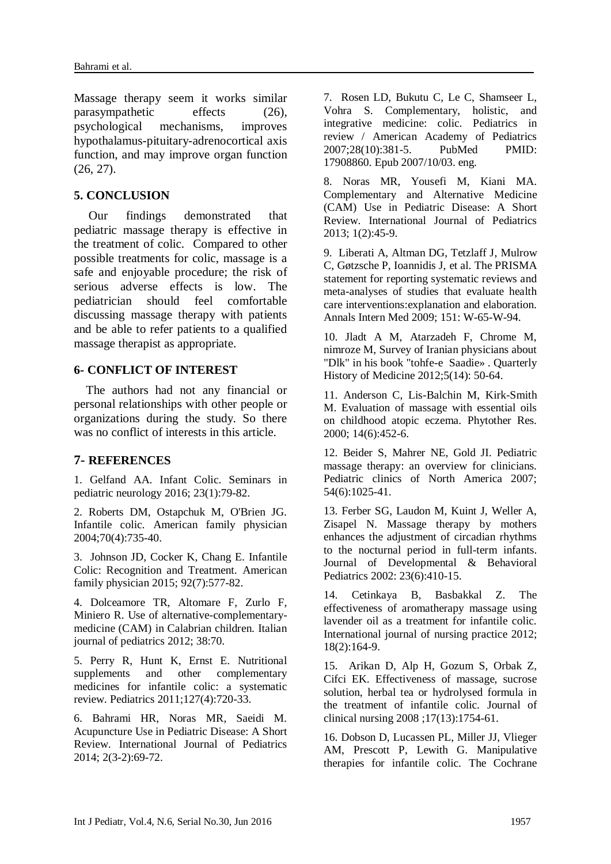Massage therapy seem it works similar parasympathetic effects (26), psychological mechanisms, improves hypothalamus-pituitary-adrenocortical axis function, and may improve organ function (26, 27).

### **5. CONCLUSION**

Our findings demonstrated that pediatric massage therapy is effective in the treatment of colic. Compared to other possible treatments for colic, massage is a safe and enjoyable procedure; the risk of serious adverse effects is low. The pediatrician should feel comfortable discussing massage therapy with patients and be able to refer patients to a qualified massage therapist as appropriate.

#### **6- CONFLICT OF INTEREST**

 The authors had not any financial or personal relationships with other people or organizations during the study. So there was no conflict of interests in this article.

### **7- REFERENCES**

1. Gelfand AA. Infant Colic. Seminars in pediatric neurology 2016; 23(1):79-82.

2. Roberts DM, Ostapchuk M, O'Brien JG. Infantile colic. American family physician 2004;70(4):735-40.

3. Johnson JD, Cocker K, Chang E. Infantile Colic: Recognition and Treatment. American family physician 2015; 92(7):577-82.

4. Dolceamore TR, Altomare F, Zurlo F, Miniero R. Use of alternative-complementarymedicine (CAM) in Calabrian children. Italian journal of pediatrics 2012; 38:70.

5. Perry R, Hunt K, Ernst E. Nutritional supplements and other complementary medicines for infantile colic: a systematic review. Pediatrics 2011;127(4):720-33.

6. Bahrami HR, Noras MR, Saeidi M. Acupuncture Use in Pediatric Disease: A Short Review. International Journal of Pediatrics 2014; 2(3-2):69-72.

7. Rosen LD, Bukutu C, Le C, Shamseer L, Vohra S. Complementary, holistic, and integrative medicine: colic. Pediatrics in review / American Academy of Pediatrics 2007;28(10):381-5. PubMed PMID: 17908860. Epub 2007/10/03. eng.

8. Noras MR, Yousefi M, Kiani MA. Complementary and Alternative Medicine (CAM) Use in Pediatric Disease: A Short Review. International Journal of Pediatrics 2013; 1(2):45-9.

9. Liberati A, Altman DG, Tetzlaff J, Mulrow C, Gøtzsche P, Ioannidis J, et al. The PRISMA statement for reporting systematic reviews and meta-analyses of studies that evaluate health care interventions:explanation and elaboration. Annals Intern Med 2009; 151: W-65-W-94.

10. Jladt A M, Atarzadeh F, Chrome M, nimroze M, Survey of Iranian physicians about "Dlk" in his book "tohfe-e Saadie» . Quarterly History of Medicine 2012;5(14): 50-64.

11. Anderson C, Lis-Balchin M, Kirk-Smith M. Evaluation of massage with essential oils on childhood atopic eczema. Phytother Res. 2000; 14(6):452-6.

12. Beider S, Mahrer NE, Gold JI. Pediatric massage therapy: an overview for clinicians. Pediatric clinics of North America 2007; 54(6):1025-41.

13. Ferber SG, Laudon M, Kuint J, Weller A, Zisapel N. Massage therapy by mothers enhances the adjustment of circadian rhythms to the nocturnal period in full-term infants. Journal of Developmental & Behavioral Pediatrics 2002: 23(6):410-15.

14. Cetinkaya B, Basbakkal Z. The effectiveness of aromatherapy massage using lavender oil as a treatment for infantile colic. International journal of nursing practice 2012; 18(2):164-9.

15. Arikan D, Alp H, Gozum S, Orbak Z, Cifci EK. Effectiveness of massage, sucrose solution, herbal tea or hydrolysed formula in the treatment of infantile colic. Journal of clinical nursing 2008 ;17(13):1754-61.

16. Dobson D, Lucassen PL, Miller JJ, Vlieger AM, Prescott P, Lewith G. Manipulative therapies for infantile colic. The Cochrane